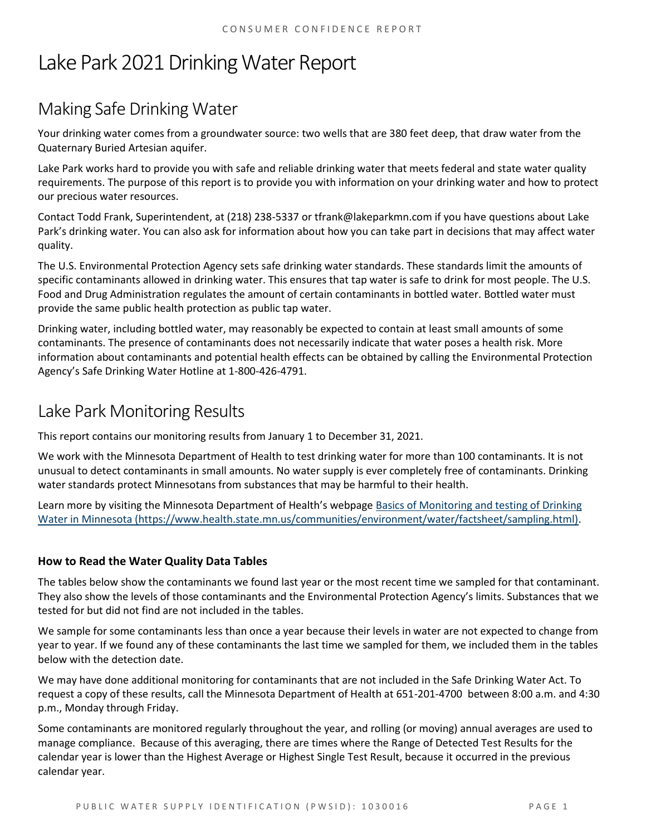# Lake Park 2021 Drinking Water Report

## Making Safe Drinking Water

Your drinking water comes from a groundwater source: two wells that are 380 feet deep, that draw water from the Quaternary Buried Artesian aquifer.

Lake Park works hard to provide you with safe and reliable drinking water that meets federal and state water quality requirements. The purpose of this report is to provide you with information on your drinking water and how to protect our precious water resources.

Contact Todd Frank, Superintendent, at (218) 238-5337 or tfrank@lakeparkmn.com if you have questions about Lake Park's drinking water. You can also ask for information about how you can take part in decisions that may affect water quality.

The U.S. Environmental Protection Agency sets safe drinking water standards. These standards limit the amounts of specific contaminants allowed in drinking water. This ensures that tap water is safe to drink for most people. The U.S. Food and Drug Administration regulates the amount of certain contaminants in bottled water. Bottled water must provide the same public health protection as public tap water.

Drinking water, including bottled water, may reasonably be expected to contain at least small amounts of some contaminants. The presence of contaminants does not necessarily indicate that water poses a health risk. More information about contaminants and potential health effects can be obtained by calling the Environmental Protection Agency's Safe Drinking Water Hotline at 1-800-426-4791.

### Lake Park Monitoring Results

This report contains our monitoring results from January 1 to December 31, 2021.

We work with the Minnesota Department of Health to test drinking water for more than 100 contaminants. It is not unusual to detect contaminants in small amounts. No water supply is ever completely free of contaminants. Drinking water standards protect Minnesotans from substances that may be harmful to their health.

Learn more by visiting the Minnesota Department of Health's webpage [Basics of Monitoring and testing of Drinking](https://www.health.state.mn.us/communities/environment/water/factsheet/sampling.html)  [Water in Minnesota \(https://www.health.state.mn.us/communities/environment/water/factsheet/sampling.html\).](https://www.health.state.mn.us/communities/environment/water/factsheet/sampling.html)

#### **How to Read the Water Quality Data Tables**

The tables below show the contaminants we found last year or the most recent time we sampled for that contaminant. They also show the levels of those contaminants and the Environmental Protection Agency's limits. Substances that we tested for but did not find are not included in the tables.

We sample for some contaminants less than once a year because their levels in water are not expected to change from year to year. If we found any of these contaminants the last time we sampled for them, we included them in the tables below with the detection date.

We may have done additional monitoring for contaminants that are not included in the Safe Drinking Water Act. To request a copy of these results, call the Minnesota Department of Health at 651-201-4700 between 8:00 a.m. and 4:30 p.m., Monday through Friday.

Some contaminants are monitored regularly throughout the year, and rolling (or moving) annual averages are used to manage compliance. Because of this averaging, there are times where the Range of Detected Test Results for the calendar year is lower than the Highest Average or Highest Single Test Result, because it occurred in the previous calendar year.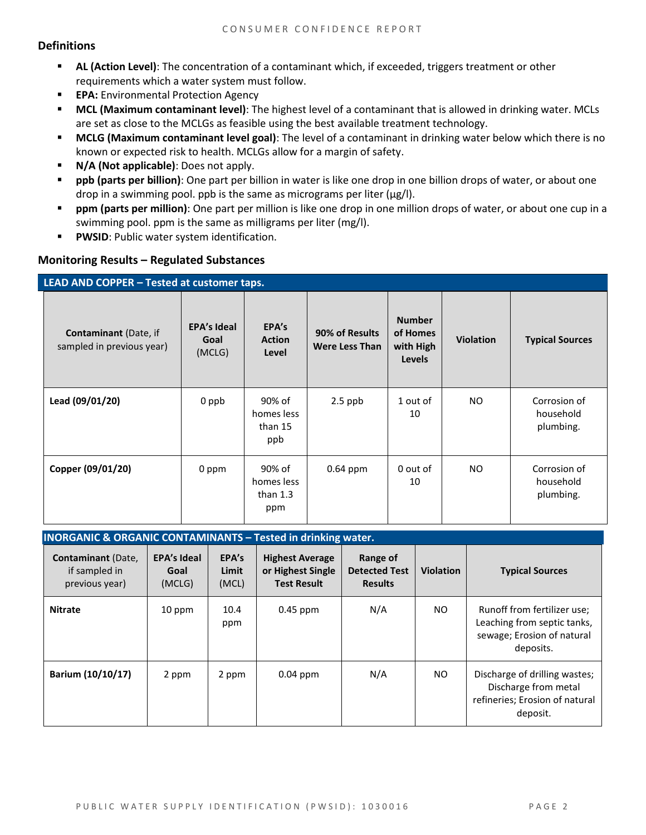#### **Definitions**

- **AL (Action Level)**: The concentration of a contaminant which, if exceeded, triggers treatment or other requirements which a water system must follow.
- **EPA:** Environmental Protection Agency
- **MCL (Maximum contaminant level)**: The highest level of a contaminant that is allowed in drinking water. MCLs are set as close to the MCLGs as feasible using the best available treatment technology.
- **MCLG (Maximum contaminant level goal)**: The level of a contaminant in drinking water below which there is no known or expected risk to health. MCLGs allow for a margin of safety.
- **N/A (Not applicable)**: Does not apply.
- **ppb (parts per billion)**: One part per billion in water is like one drop in one billion drops of water, or about one drop in a swimming pool. ppb is the same as micrograms per liter (μg/l).
- **ppm (parts per million)**: One part per million is like one drop in one million drops of water, or about one cup in a swimming pool. ppm is the same as milligrams per liter (mg/l).
- **PWSID**: Public water system identification.

#### **Monitoring Results – Regulated Substances**

| LEAD AND COPPER - Tested at customer taps.                |                                      |                                           |                                         |                                                         |                  |                                        |  |
|-----------------------------------------------------------|--------------------------------------|-------------------------------------------|-----------------------------------------|---------------------------------------------------------|------------------|----------------------------------------|--|
| <b>Contaminant</b> (Date, if<br>sampled in previous year) | <b>EPA's Ideal</b><br>Goal<br>(MCLG) | EPA's<br><b>Action</b><br>Level           | 90% of Results<br><b>Were Less Than</b> | <b>Number</b><br>of Homes<br>with High<br><b>Levels</b> | <b>Violation</b> | <b>Typical Sources</b>                 |  |
| Lead (09/01/20)                                           | 0 ppb                                | 90% of<br>homes less<br>than 15<br>ppb    | $2.5$ ppb                               | 1 out of<br>10                                          | NO.              | Corrosion of<br>household<br>plumbing. |  |
| Copper (09/01/20)                                         | 0 ppm                                | 90% of<br>homes less<br>than $1.3$<br>ppm | $0.64$ ppm                              | 0 out of<br>10                                          | NO.              | Corrosion of<br>household<br>plumbing. |  |

#### **INORGANIC & ORGANIC CONTAMINANTS – Tested in drinking water.**

| <b>Contaminant</b> (Date,<br>if sampled in<br>previous year) | <b>EPA's Ideal</b><br>Goal<br>(MCLG) | EPA's<br>Limit<br>(MCL) | <b>Highest Average</b><br>or Highest Single<br><b>Test Result</b> | Range of<br><b>Detected Test</b><br><b>Results</b> | <b>Violation</b> | <b>Typical Sources</b>                                                                                |
|--------------------------------------------------------------|--------------------------------------|-------------------------|-------------------------------------------------------------------|----------------------------------------------------|------------------|-------------------------------------------------------------------------------------------------------|
| <b>Nitrate</b>                                               | 10 ppm                               | 10.4<br>ppm             | $0.45$ ppm                                                        | N/A                                                | NO.              | Runoff from fertilizer use;<br>Leaching from septic tanks,<br>sewage; Erosion of natural<br>deposits. |
| Barium (10/10/17)                                            | 2 ppm                                | 2 ppm                   | $0.04$ ppm                                                        | N/A                                                | NO.              | Discharge of drilling wastes;<br>Discharge from metal<br>refineries; Erosion of natural<br>deposit.   |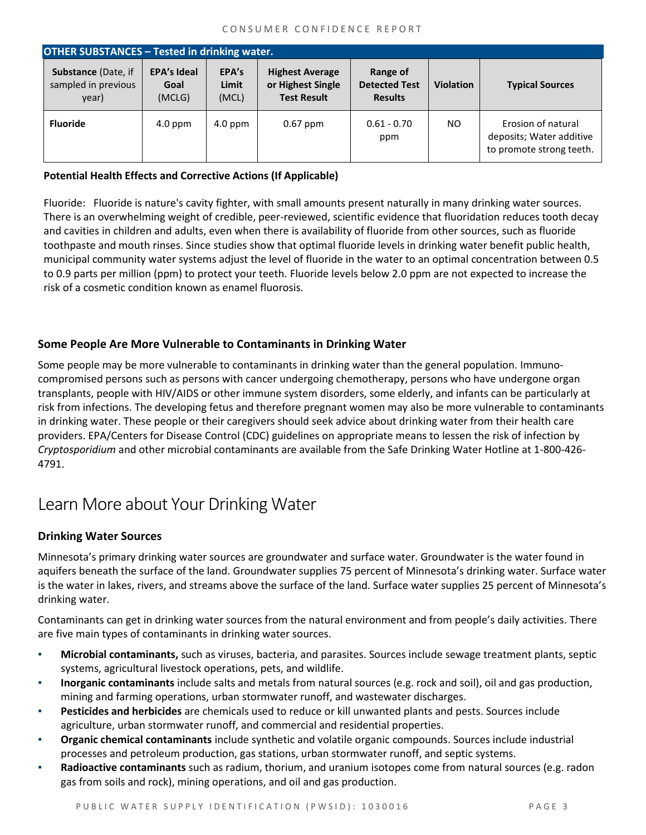| <b>OTHER SUBSTANCES - Tested in drinking water.</b>        |                                      |                         |                                                                   |                                                    |                  |                                                                            |  |
|------------------------------------------------------------|--------------------------------------|-------------------------|-------------------------------------------------------------------|----------------------------------------------------|------------------|----------------------------------------------------------------------------|--|
| <b>Substance (Date, if</b><br>sampled in previous<br>year) | <b>EPA's Ideal</b><br>Goal<br>(MCLG) | EPA's<br>Limit<br>(MCL) | <b>Highest Average</b><br>or Highest Single<br><b>Test Result</b> | Range of<br><b>Detected Test</b><br><b>Results</b> | <b>Violation</b> | <b>Typical Sources</b>                                                     |  |
| <b>Fluoride</b>                                            | $4.0$ ppm                            | 4.0 ppm                 | $0.67$ ppm                                                        | $0.61 - 0.70$<br>ppm                               | NO.              | Erosion of natural<br>deposits; Water additive<br>to promote strong teeth. |  |

#### **Potential Health Effects and Corrective Actions (If Applicable)**

Fluoride: Fluoride is nature's cavity fighter, with small amounts present naturally in many drinking water sources. There is an overwhelming weight of credible, peer-reviewed, scientific evidence that fluoridation reduces tooth decay and cavities in children and adults, even when there is availability of fluoride from other sources, such as fluoride toothpaste and mouth rinses. Since studies show that optimal fluoride levels in drinking water benefit public health, municipal community water systems adjust the level of fluoride in the water to an optimal concentration between 0.5 to 0.9 parts per million (ppm) to protect your teeth. Fluoride levels below 2.0 ppm are not expected to increase the risk of a cosmetic condition known as enamel fluorosis.

#### **Some People Are More Vulnerable to Contaminants in Drinking Water**

Some people may be more vulnerable to contaminants in drinking water than the general population. Immunocompromised persons such as persons with cancer undergoing chemotherapy, persons who have undergone organ transplants, people with HIV/AIDS or other immune system disorders, some elderly, and infants can be particularly at risk from infections. The developing fetus and therefore pregnant women may also be more vulnerable to contaminants in drinking water. These people or their caregivers should seek advice about drinking water from their health care providers. EPA/Centers for Disease Control (CDC) guidelines on appropriate means to lessen the risk of infection by *Cryptosporidium* and other microbial contaminants are available from the Safe Drinking Water Hotline at 1-800-426- 4791.

### Learn More about Your Drinking Water

#### **Drinking Water Sources**

Minnesota's primary drinking water sources are groundwater and surface water. Groundwater is the water found in aquifers beneath the surface of the land. Groundwater supplies 75 percent of Minnesota's drinking water. Surface water is the water in lakes, rivers, and streams above the surface of the land. Surface water supplies 25 percent of Minnesota's drinking water.

Contaminants can get in drinking water sources from the natural environment and from people's daily activities. There are five main types of contaminants in drinking water sources.

- **Microbial contaminants,** such as viruses, bacteria, and parasites. Sources include sewage treatment plants, septic systems, agricultural livestock operations, pets, and wildlife.
- **Inorganic contaminants** include salts and metals from natural sources (e.g. rock and soil), oil and gas production, mining and farming operations, urban stormwater runoff, and wastewater discharges.
- **Pesticides and herbicides** are chemicals used to reduce or kill unwanted plants and pests. Sources include agriculture, urban stormwater runoff, and commercial and residential properties.
- **Organic chemical contaminants** include synthetic and volatile organic compounds. Sources include industrial processes and petroleum production, gas stations, urban stormwater runoff, and septic systems.
- **Radioactive contaminants** such as radium, thorium, and uranium isotopes come from natural sources (e.g. radon gas from soils and rock), mining operations, and oil and gas production.